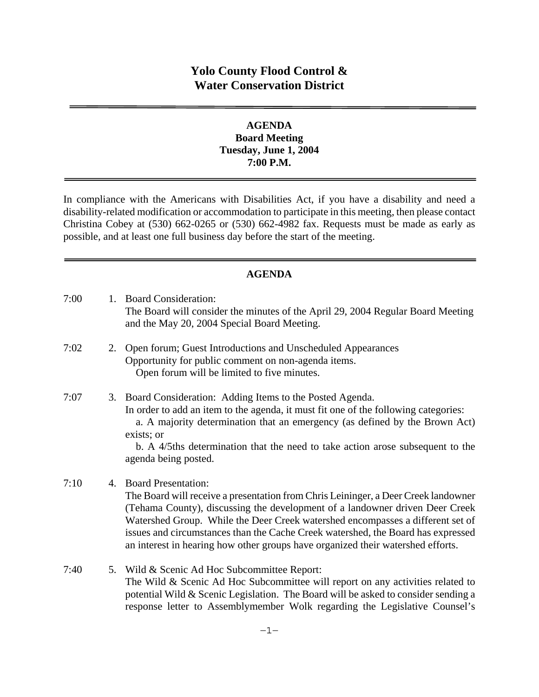# **Yolo County Flood Control & Water Conservation District**

### **AGENDA Board Meeting Tuesday, June 1, 2004 7:00 P.M.**

In compliance with the Americans with Disabilities Act, if you have a disability and need a disability-related modification or accommodation to participate in this meeting, then please contact Christina Cobey at (530) 662-0265 or (530) 662-4982 fax. Requests must be made as early as possible, and at least one full business day before the start of the meeting.

#### **AGENDA**

7:00 1. Board Consideration: The Board will consider the minutes of the April 29, 2004 Regular Board Meeting and the May 20, 2004 Special Board Meeting. 7:02 2. Open forum; Guest Introductions and Unscheduled Appearances Opportunity for public comment on non-agenda items. Open forum will be limited to five minutes. 7:07 3. Board Consideration: Adding Items to the Posted Agenda. In order to add an item to the agenda, it must fit one of the following categories:

 a. A majority determination that an emergency (as defined by the Brown Act) exists; or

 b. A 4/5ths determination that the need to take action arose subsequent to the agenda being posted.

# 7:10 4. Board Presentation:

The Board will receive a presentation from Chris Leininger, a Deer Creek landowner (Tehama County), discussing the development of a landowner driven Deer Creek Watershed Group. While the Deer Creek watershed encompasses a different set of issues and circumstances than the Cache Creek watershed, the Board has expressed an interest in hearing how other groups have organized their watershed efforts.

7:40 5. Wild & Scenic Ad Hoc Subcommittee Report: The Wild & Scenic Ad Hoc Subcommittee will report on any activities related to potential Wild & Scenic Legislation. The Board will be asked to consider sending a response letter to Assemblymember Wolk regarding the Legislative Counsel's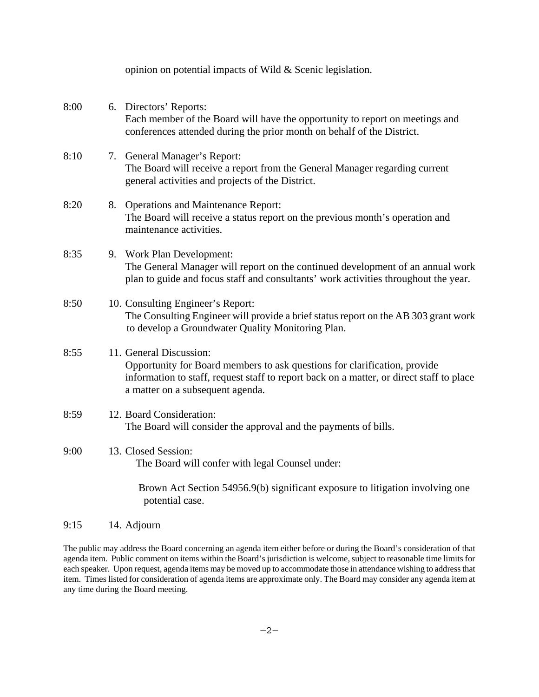|      | opinion on potential impacts of Wild & Scenic legislation.                                                                                                                                                                           |
|------|--------------------------------------------------------------------------------------------------------------------------------------------------------------------------------------------------------------------------------------|
| 8:00 | 6. Directors' Reports:<br>Each member of the Board will have the opportunity to report on meetings and<br>conferences attended during the prior month on behalf of the District.                                                     |
| 8:10 | 7. General Manager's Report:<br>The Board will receive a report from the General Manager regarding current<br>general activities and projects of the District.                                                                       |
| 8:20 | 8. Operations and Maintenance Report:<br>The Board will receive a status report on the previous month's operation and<br>maintenance activities.                                                                                     |
| 8:35 | 9. Work Plan Development:<br>The General Manager will report on the continued development of an annual work<br>plan to guide and focus staff and consultants' work activities throughout the year.                                   |
| 8:50 | 10. Consulting Engineer's Report:<br>The Consulting Engineer will provide a brief status report on the AB 303 grant work<br>to develop a Groundwater Quality Monitoring Plan.                                                        |
| 8:55 | 11. General Discussion:<br>Opportunity for Board members to ask questions for clarification, provide<br>information to staff, request staff to report back on a matter, or direct staff to place<br>a matter on a subsequent agenda. |
| 8:59 | 12. Board Consideration:<br>The Board will consider the approval and the payments of bills.                                                                                                                                          |
| 9:00 | 13. Closed Session:<br>The Board will confer with legal Counsel under:                                                                                                                                                               |
|      | Brown Act Section 54956.9(b) significant exposure to litigation involving one<br>potential case.                                                                                                                                     |

### 9:15 14. Adjourn

The public may address the Board concerning an agenda item either before or during the Board's consideration of that agenda item. Public comment on items within the Board's jurisdiction is welcome, subject to reasonable time limits for each speaker. Upon request, agenda items may be moved up to accommodate those in attendance wishing to address that item. Times listed for consideration of agenda items are approximate only. The Board may consider any agenda item at any time during the Board meeting.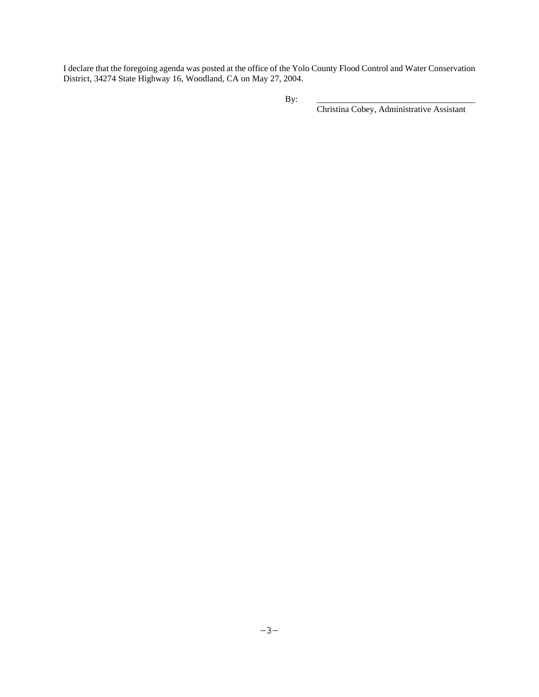I declare that the foregoing agenda was posted at the office of the Yolo County Flood Control and Water Conservation District, 34274 State Highway 16, Woodland, CA on May 27, 2004.

Christina Cobey, Administrative Assistant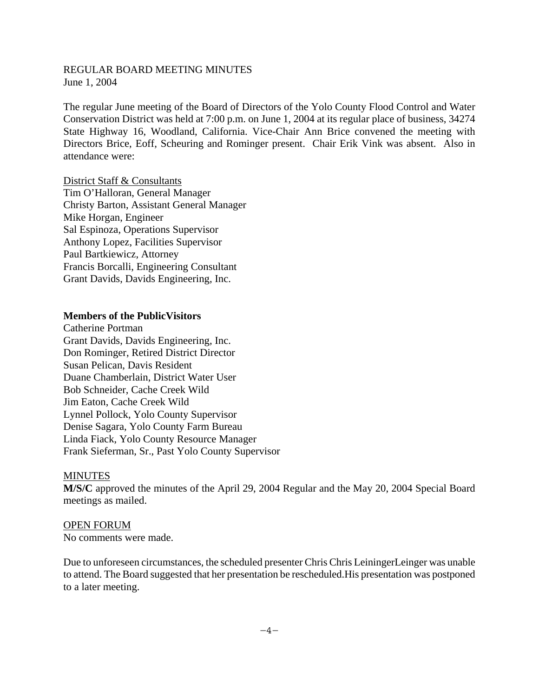#### REGULAR BOARD MEETING MINUTES June 1, 2004

The regular June meeting of the Board of Directors of the Yolo County Flood Control and Water Conservation District was held at 7:00 p.m. on June 1, 2004 at its regular place of business, 34274 State Highway 16, Woodland, California. Vice-Chair Ann Brice convened the meeting with Directors Brice, Eoff, Scheuring and Rominger present. Chair Erik Vink was absent. Also in attendance were:

District Staff & Consultants Tim O'Halloran, General Manager Christy Barton, Assistant General Manager Mike Horgan, Engineer Sal Espinoza, Operations Supervisor Anthony Lopez, Facilities Supervisor Paul Bartkiewicz, Attorney Francis Borcalli, Engineering Consultant Grant Davids, Davids Engineering, Inc.

#### **Members of the PublicVisitors**

Catherine Portman Grant Davids, Davids Engineering, Inc. Don Rominger, Retired District Director Susan Pelican, Davis Resident Duane Chamberlain, District Water User Bob Schneider, Cache Creek Wild Jim Eaton, Cache Creek Wild Lynnel Pollock, Yolo County Supervisor Denise Sagara, Yolo County Farm Bureau Linda Fiack, Yolo County Resource Manager Frank Sieferman, Sr., Past Yolo County Supervisor

#### MINUTES

**M/S/C** approved the minutes of the April 29, 2004 Regular and the May 20, 2004 Special Board meetings as mailed.

OPEN FORUM No comments were made.

Due to unforeseen circumstances, the scheduled presenter Chris Chris LeiningerLeinger was unable to attend. The Board suggested that her presentation be rescheduled.His presentation was postponed to a later meeting.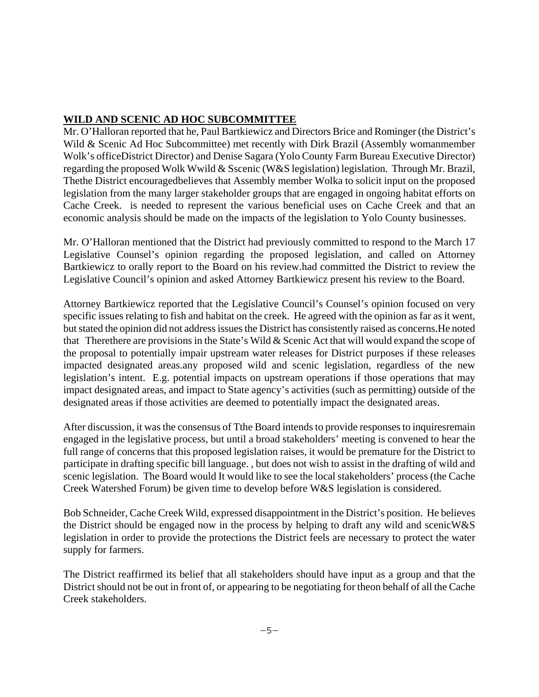# **WILD AND SCENIC AD HOC SUBCOMMITTEE**

Mr. O'Halloran reported that he, Paul Bartkiewicz and Directors Brice and Rominger (the District's Wild & Scenic Ad Hoc Subcommittee) met recently with Dirk Brazil (Assembly womanmember Wolk's officeDistrict Director) and Denise Sagara (Yolo County Farm Bureau Executive Director) regarding the proposed Wolk Wwild & Sscenic (W&S legislation) legislation. Through Mr. Brazil, Thethe District encouragedbelieves that Assembly member Wolka to solicit input on the proposed legislation from the many larger stakeholder groups that are engaged in ongoing habitat efforts on Cache Creek. is needed to represent the various beneficial uses on Cache Creek and that an economic analysis should be made on the impacts of the legislation to Yolo County businesses.

Mr. O'Halloran mentioned that the District had previously committed to respond to the March 17 Legislative Counsel's opinion regarding the proposed legislation, and called on Attorney Bartkiewicz to orally report to the Board on his review.had committed the District to review the Legislative Council's opinion and asked Attorney Bartkiewicz present his review to the Board.

Attorney Bartkiewicz reported that the Legislative Council's Counsel's opinion focused on very specific issues relating to fish and habitat on the creek. He agreed with the opinion as far as it went, but stated the opinion did not address issues the District has consistently raised as concerns.He noted that Therethere are provisions in the State's Wild & Scenic Act that will would expand the scope of the proposal to potentially impair upstream water releases for District purposes if these releases impacted designated areas.any proposed wild and scenic legislation, regardless of the new legislation's intent. E.g. potential impacts on upstream operations if those operations that may impact designated areas, and impact to State agency's activities (such as permitting) outside of the designated areas if those activities are deemed to potentially impact the designated areas.

After discussion, it was the consensus of Tthe Board intends to provide responses to inquiresremain engaged in the legislative process, but until a broad stakeholders' meeting is convened to hear the full range of concerns that this proposed legislation raises, it would be premature for the District to participate in drafting specific bill language. , but does not wish to assist in the drafting of wild and scenic legislation. The Board would It would like to see the local stakeholders' process (the Cache Creek Watershed Forum) be given time to develop before W&S legislation is considered.

Bob Schneider, Cache Creek Wild, expressed disappointment in the District's position. He believes the District should be engaged now in the process by helping to draft any wild and scenicW&S legislation in order to provide the protections the District feels are necessary to protect the water supply for farmers.

The District reaffirmed its belief that all stakeholders should have input as a group and that the District should not be out in front of, or appearing to be negotiating for theon behalf of all the Cache Creek stakeholders.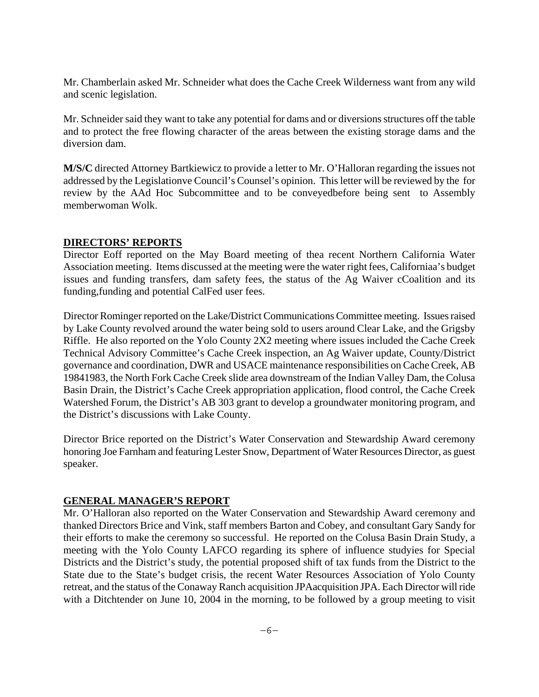Mr. Chamberlain asked Mr. Schneider what does the Cache Creek Wilderness want from any wild and scenic legislation.

Mr. Schneider said they want to take any potential for dams and or diversions structures off the table and to protect the free flowing character of the areas between the existing storage dams and the diversion dam.

**M/S/C** directed Attorney Bartkiewicz to provide a letter to Mr. O'Halloran regarding the issues not addressed by the Legislationve Council's Counsel's opinion. This letter will be reviewed by the for review by the AAd Hoc Subcommittee and to be conveyedbefore being sent to Assembly memberwoman Wolk.

### **DIRECTORS' REPORTS**

Director Eoff reported on the May Board meeting of thea recent Northern California Water Association meeting. Items discussed at the meeting were the water right fees, Californiaa's budget issues and funding transfers, dam safety fees, the status of the Ag Waiver cCoalition and its funding,funding and potential CalFed user fees.

Director Rominger reported on the Lake/District Communications Committee meeting. Issues raised by Lake County revolved around the water being sold to users around Clear Lake, and the Grigsby Riffle. He also reported on the Yolo County 2X2 meeting where issues included the Cache Creek Technical Advisory Committee's Cache Creek inspection, an Ag Waiver update, County/District governance and coordination, DWR and USACE maintenance responsibilities on Cache Creek, AB 19841983, the North Fork Cache Creek slide area downstream of the Indian Valley Dam, the Colusa Basin Drain, the District's Cache Creek appropriation application, flood control, the Cache Creek Watershed Forum, the District's AB 303 grant to develop a groundwater monitoring program, and the District's discussions with Lake County.

Director Brice reported on the District's Water Conservation and Stewardship Award ceremony honoring Joe Farnham and featuring Lester Snow, Department of Water Resources Director, as guest speaker.

### **GENERAL MANAGER'S REPORT**

Mr. O'Halloran also reported on the Water Conservation and Stewardship Award ceremony and thanked Directors Brice and Vink, staff members Barton and Cobey, and consultant Gary Sandy for their efforts to make the ceremony so successful. He reported on the Colusa Basin Drain Study, a meeting with the Yolo County LAFCO regarding its sphere of influence studyies for Special Districts and the District's study, the potential proposed shift of tax funds from the District to the State due to the State's budget crisis, the recent Water Resources Association of Yolo County retreat, and the status of the Conaway Ranch acquisition JPAacquisition JPA. Each Director will ride with a Ditchtender on June 10, 2004 in the morning, to be followed by a group meeting to visit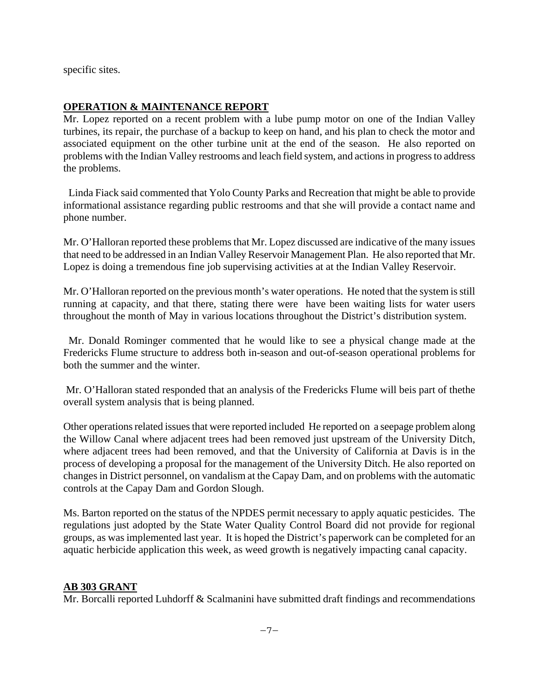specific sites.

### **OPERATION & MAINTENANCE REPORT**

Mr. Lopez reported on a recent problem with a lube pump motor on one of the Indian Valley turbines, its repair, the purchase of a backup to keep on hand, and his plan to check the motor and associated equipment on the other turbine unit at the end of the season. He also reported on problems with the Indian Valley restrooms and leach field system, and actions in progress to address the problems.

 Linda Fiack said commented that Yolo County Parks and Recreation that might be able to provide informational assistance regarding public restrooms and that she will provide a contact name and phone number.

Mr. O'Halloran reported these problems that Mr. Lopez discussed are indicative of the many issues that need to be addressed in an Indian Valley Reservoir Management Plan. He also reported that Mr. Lopez is doing a tremendous fine job supervising activities at at the Indian Valley Reservoir.

Mr. O'Halloran reported on the previous month's water operations. He noted that the system is still running at capacity, and that there, stating there were have been waiting lists for water users throughout the month of May in various locations throughout the District's distribution system.

 Mr. Donald Rominger commented that he would like to see a physical change made at the Fredericks Flume structure to address both in-season and out-of-season operational problems for both the summer and the winter.

 Mr. O'Halloran stated responded that an analysis of the Fredericks Flume will beis part of thethe overall system analysis that is being planned.

Other operations related issues that were reported included He reported on a seepage problem along the Willow Canal where adjacent trees had been removed just upstream of the University Ditch, where adjacent trees had been removed, and that the University of California at Davis is in the process of developing a proposal for the management of the University Ditch. He also reported on changes in District personnel, on vandalism at the Capay Dam, and on problems with the automatic controls at the Capay Dam and Gordon Slough.

Ms. Barton reported on the status of the NPDES permit necessary to apply aquatic pesticides. The regulations just adopted by the State Water Quality Control Board did not provide for regional groups, as was implemented last year. It is hoped the District's paperwork can be completed for an aquatic herbicide application this week, as weed growth is negatively impacting canal capacity.

#### **AB 303 GRANT**

Mr. Borcalli reported Luhdorff & Scalmanini have submitted draft findings and recommendations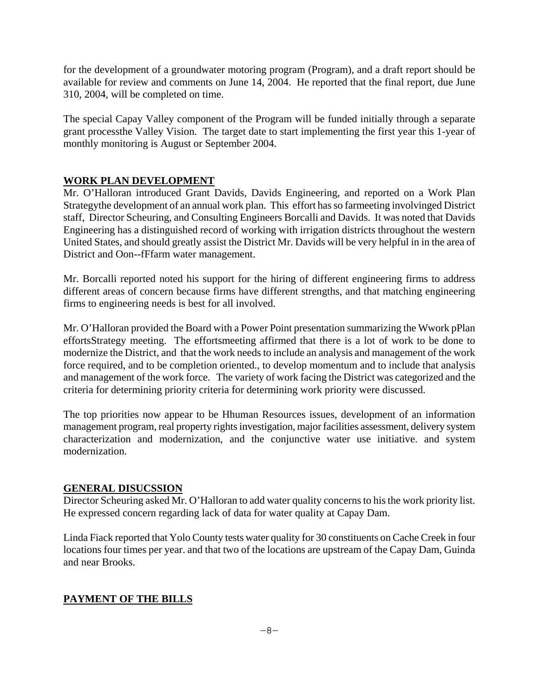for the development of a groundwater motoring program (Program), and a draft report should be available for review and comments on June 14, 2004. He reported that the final report, due June 310, 2004, will be completed on time.

The special Capay Valley component of the Program will be funded initially through a separate grant processthe Valley Vision. The target date to start implementing the first year this 1-year of monthly monitoring is August or September 2004.

# **WORK PLAN DEVELOPMENT**

Mr. O'Halloran introduced Grant Davids, Davids Engineering, and reported on a Work Plan Strategythe development of an annual work plan. This effort has so farmeeting involvinged District staff, Director Scheuring, and Consulting Engineers Borcalli and Davids. It was noted that Davids Engineering has a distinguished record of working with irrigation districts throughout the western United States, and should greatly assist the District Mr. Davids will be very helpful in in the area of District and Oon--fFfarm water management.

Mr. Borcalli reported noted his support for the hiring of different engineering firms to address different areas of concern because firms have different strengths, and that matching engineering firms to engineering needs is best for all involved.

Mr. O'Halloran provided the Board with a Power Point presentation summarizing the Wwork pPlan effortsStrategy meeting. The effortsmeeting affirmed that there is a lot of work to be done to modernize the District, and that the work needs to include an analysis and management of the work force required, and to be completion oriented., to develop momentum and to include that analysis and management of the work force. The variety of work facing the District was categorized and the criteria for determining priority criteria for determining work priority were discussed.

The top priorities now appear to be Hhuman Resources issues, development of an information management program, real property rights investigation, major facilities assessment, delivery system characterization and modernization, and the conjunctive water use initiative. and system modernization.

### **GENERAL DISUCSSION**

Director Scheuring asked Mr. O'Halloran to add water quality concerns to his the work priority list. He expressed concern regarding lack of data for water quality at Capay Dam.

Linda Fiack reported that Yolo County tests water quality for 30 constituents on Cache Creek in four locations four times per year. and that two of the locations are upstream of the Capay Dam, Guinda and near Brooks.

# **PAYMENT OF THE BILLS**